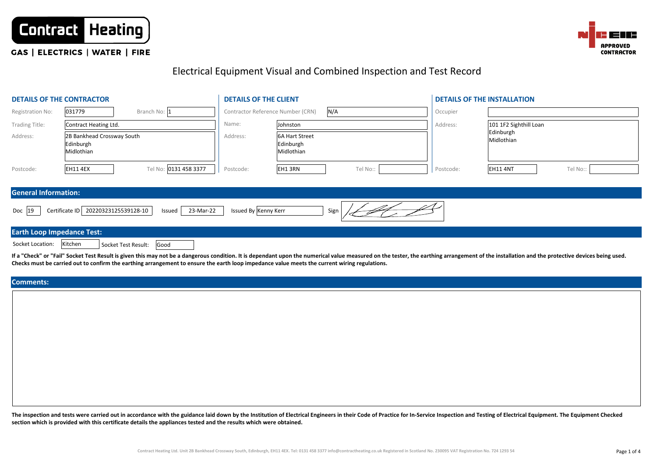



# **CAS | ELECTRICS | WATER | FIRE**

# Electrical Equipment Visual and Combined Inspection and Test Record

|                                   | <b>DETAILS OF THE CONTRACTOR</b>                      |                             | <b>DETAILS OF THE CLIENT</b> |                                                  |          | <b>DETAILS OF THE INSTALLATION</b> |                         |          |  |  |  |
|-----------------------------------|-------------------------------------------------------|-----------------------------|------------------------------|--------------------------------------------------|----------|------------------------------------|-------------------------|----------|--|--|--|
| Registration No:                  | 031779                                                | Branch No: 1                |                              | Contractor Reference Number (CRN)                | N/A      | Occupier                           |                         |          |  |  |  |
| <b>Trading Title:</b>             | Contract Heating Ltd.                                 |                             | Name:                        | Johnston                                         |          | Address:                           | 101 1F2 Sighthill Loan  |          |  |  |  |
| Address:                          | 2B Bankhead Crossway South<br>Edinburgh<br>Midlothian |                             | Address:                     | <b>6A Hart Street</b><br>Edinburgh<br>Midlothian |          |                                    | Edinburgh<br>Midlothian |          |  |  |  |
| Postcode:                         | <b>EH11 4EX</b>                                       | Tel No: 0131 458 3377       | Postcode:                    | EH1 3RN                                          | Tel No:: | Postcode:                          | <b>EH11 4NT</b>         | Tel No:: |  |  |  |
| <b>General Information:</b>       |                                                       |                             |                              |                                                  |          |                                    |                         |          |  |  |  |
| Doc 19                            | 20220323125539128-10<br>Certificate ID                | 23-Mar-22<br>Issued         | Issued By Kenny Kerr         |                                                  | Sign     |                                    |                         |          |  |  |  |
| <b>Earth Loop Impedance Test:</b> |                                                       |                             |                              |                                                  |          |                                    |                         |          |  |  |  |
| Socket Location:                  | Kitchen                                               | Good<br>Socket Test Result: |                              |                                                  |          |                                    |                         |          |  |  |  |

If a "Check" or "Fail" Socket Test Result is given this may not be a dangerous condition. It is dependant upon the numerical value measured on the tester, the earthing arrangement of the installation and the protective dev **Checks must be carried out to confirm the earthing arrangement to ensure the earth loop impedance value meets the current wiring regulations.**

**Comments:**

The inspection and tests were carried out in accordance with the guidance laid down by the Institution of Electrical Engineers in their Code of Practice for In-Service Inspection and Testing of Electrical Equipment. The Eq **section which is provided with this certificate details the appliances tested and the results which were obtained.**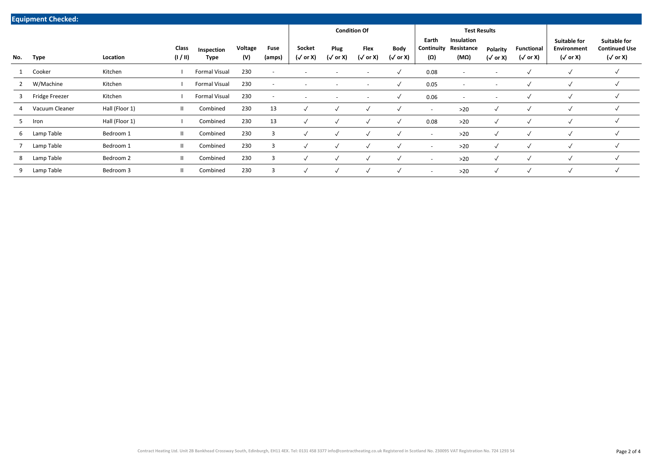| <b>Equipment Checked:</b> |                |                |                 |                      |                |                          |                           |                          |                          |                                |                            |                                  |                             |                                      |                                                              |                                                                |
|---------------------------|----------------|----------------|-----------------|----------------------|----------------|--------------------------|---------------------------|--------------------------|--------------------------|--------------------------------|----------------------------|----------------------------------|-----------------------------|--------------------------------------|--------------------------------------------------------------|----------------------------------------------------------------|
|                           |                |                |                 |                      |                |                          | <b>Condition Of</b>       |                          |                          |                                | <b>Test Results</b>        |                                  |                             |                                      |                                                              |                                                                |
| No.                       | Type           | Location       | Class<br>(1/11) | Inspection<br>Type   | Voltage<br>(V) | Fuse<br>(amps)           | Socket<br>$(\sqrt{or X})$ | Plug<br>$(\sqrt{or X})$  | Flex<br>(√ or X)         | <b>Body</b><br>$(\sqrt{or X})$ | Earth<br>Continuity<br>(Ω) | Insulation<br>Resistance<br>(MΩ) | Polarity<br>$(\sqrt{or} X)$ | <b>Functional</b><br>$(\sqrt{or X})$ | <b>Suitable for</b><br><b>Environment</b><br>$(\sqrt{or X})$ | <b>Suitable for</b><br><b>Continued Use</b><br>$(\sqrt{or X})$ |
|                           | Cooker         | Kitchen        |                 | <b>Formal Visual</b> | 230            | $\overline{\phantom{0}}$ | $\overline{\phantom{a}}$  | $\overline{\phantom{a}}$ | $\overline{\phantom{a}}$ | √                              | 0.08                       | $\overline{\phantom{a}}$         | $\overline{\phantom{a}}$    | $\checkmark$                         | $\checkmark$                                                 | √                                                              |
| $\overline{2}$            | W/Machine      | Kitchen        |                 | <b>Formal Visual</b> | 230            | $\overline{\phantom{0}}$ |                           | $\overline{\phantom{a}}$ |                          | $\checkmark$                   | 0.05                       | $\overline{\phantom{a}}$         | $\overline{\phantom{a}}$    |                                      | $\checkmark$                                                 | √                                                              |
| 3                         | Fridge Freezer | Kitchen        |                 | <b>Formal Visual</b> | 230            | $\overline{\phantom{a}}$ | $\overline{\phantom{a}}$  | $\overline{\phantom{a}}$ | $\overline{\phantom{a}}$ | √                              | 0.06                       | $\overline{\phantom{a}}$         | $\overline{\phantom{a}}$    |                                      | $\checkmark$                                                 | √                                                              |
|                           | Vacuum Cleaner | Hall (Floor 1) | Ш.              | Combined             | 230            | 13                       | $\sqrt{ }$                | $\checkmark$             | $\checkmark$             | $\checkmark$                   | $\overline{\phantom{a}}$   | $>20$                            | √                           | $\checkmark$                         | $\checkmark$                                                 | √                                                              |
| 5                         | Iron           | Hall (Floor 1) |                 | Combined             | 230            | 13                       |                           | $\checkmark$             | $\checkmark$             | $\checkmark$                   | 0.08                       | $>20$                            | $\checkmark$                | $\overline{\mathbf{v}}$              | $\checkmark$                                                 | √                                                              |
| 6                         | Lamp Table     | Bedroom 1      | Ш.              | Combined             | 230            | 3                        |                           | $\checkmark$             | √                        |                                | $\overline{\phantom{a}}$   | $>20$                            | √                           | $\overline{\mathbf{v}}$              | $\checkmark$                                                 | √                                                              |
|                           | Lamp Table     | Bedroom 1      | Ш.              | Combined             | 230            | 3                        |                           | $\checkmark$             | $\checkmark$             | $\checkmark$                   | $\overline{\phantom{a}}$   | $>20$                            | $\checkmark$                | $\checkmark$                         | $\checkmark$                                                 | √                                                              |
| 8                         | Lamp Table     | Bedroom 2      | Ш.              | Combined             | 230            | 3                        |                           | $\checkmark$             | $\checkmark$             | $\checkmark$                   | $\overline{\phantom{a}}$   | $>20$                            | $\checkmark$                | $\checkmark$                         | ✓                                                            | $\checkmark$                                                   |
| 9                         | Lamp Table     | Bedroom 3      | Ш               | Combined             | 230            | 3                        |                           | $\checkmark$             | $\checkmark$             | $\checkmark$                   | $\overline{\phantom{a}}$   | $>20$                            | $\checkmark$                | $\checkmark$                         |                                                              | $\checkmark$                                                   |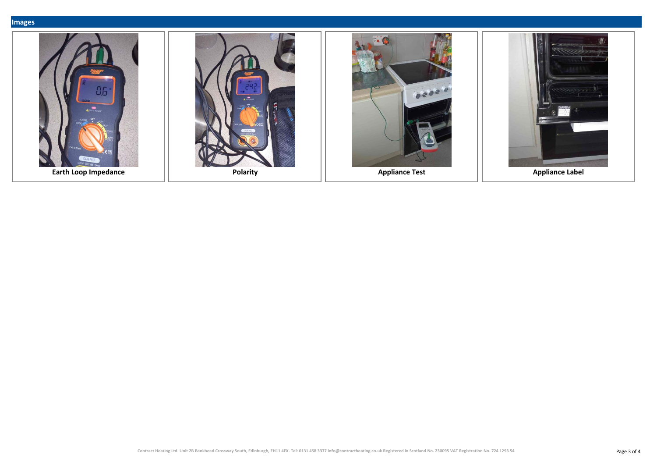